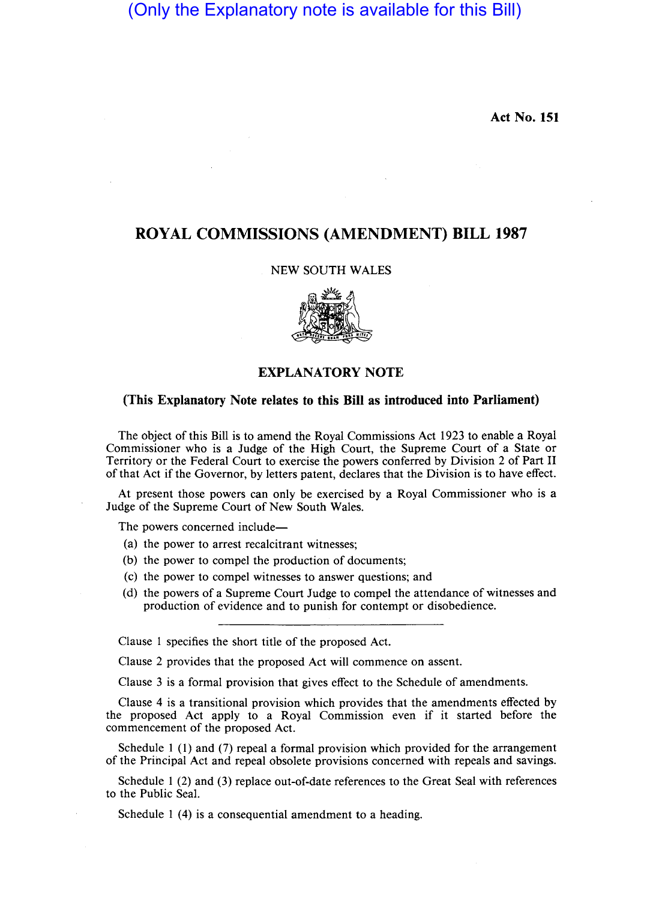# (Only the Explanatory note is available for this Bill)

Act No. 151

# ROYAL COMMISSIONS (AMENDMENT) BILL 1987

#### NEW SOUTH WALES



## EXPLANATORY NOTE

### (This Explanatory Note relates to this Bill as introduced into Parliament)

The object of this Bill is to amend the Royal Commissions Act 1923 to enable a Royal Commissioner who is a Judge of the High Court, the Supreme Court of a State or Territory or the Federal Court to exercise the powers conferred by Division 2 of Part 11 of that Act if the Governor, by letters patent, declares that the Division is to have effect.

At present those powers can only be exercised by a Royal Commissioner who is a Judge of the Supreme Court of New South Wales.

The powers concerned include—

- (a) the power to arrest recalcitrant witnesses;
- (b) the power to compel the production of documents;
- (c) the power to compel witnesses to answer questions; and
- (d) the powers of a Supreme Court Judge to compel the attendance of witnesses and production of evidence and to punish for contempt or disobedience.

Clause 1 specifies the short title of the proposed Act.

Clause 2 provides that the proposed Act will commence on assent.

Clause 3 is a formal provision that gives effect to the Schedule of amendments.

Clause 4 is a transitional provision which provides that the amendments effected by the proposed Act apply to a Royal Commission even if it started before the commencement of the proposed Act.

Schedule 1 (1) and (7) repeal a formal provision which provided for the arrangement of the Principal Act and repeal obsolete provisions concerned with repeals and savings.

Schedule 1 (2) and (3) replace out-of-date references to the Great Seal with references to the Public Seal.

Schedule 1 (4) is a consequential amendment to a heading.